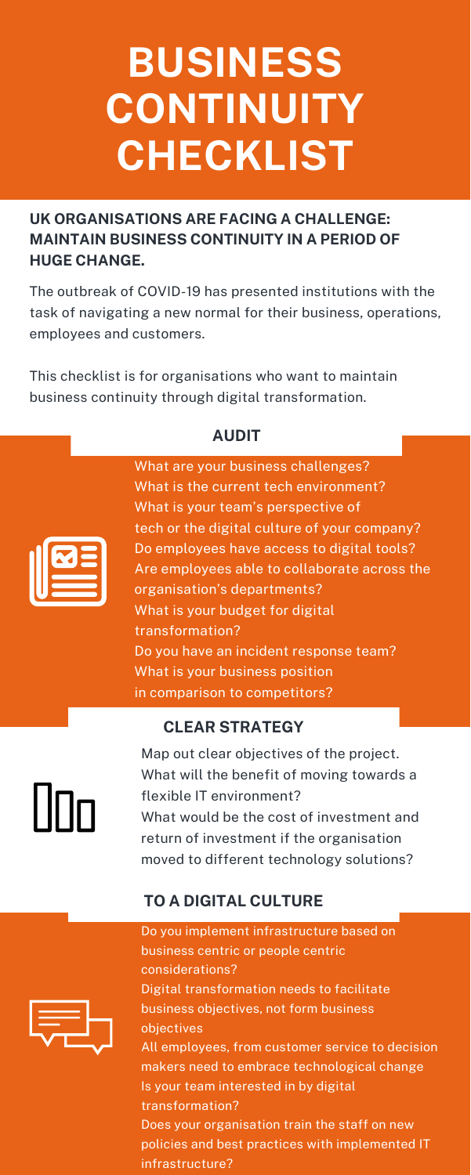### **UK ORGANISATIONS ARE FACING A CHALLENGE: MAINTAIN BUSINESS CONTINUITY IN A PERIOD OF HUGE CHANGE.**

The outbreak of COVID-19 has presented institutions with the task of navigating a new normal for their business, operations, employees and customers.

This checklist is for organisations who want to maintain business continuity through digital transformation.

### **AUDIT**

000

What are your business challenges? What is the current tech environment? What is your team's perspective of tech or the digital culture of your company? Do employees have access to digital tools? Are employees able to collaborate across the organisation's departments? What is your budget for digital transformation? Do you have an incident response team? What is your business position in comparison to competitors?

#### **CLEAR STRATEGY**

Map out clear objectives of the project. What will the benefit of moving towards a flexible IT environment? What would be the cost of investment and return of investment if the organisation moved to different technology solutions?

### **TO A DIGITAL CULTURE**

Do you implement infrastructure based on business centric or people centric considerations? Digital transformation needs to facilitate business objectives, not form business objectives All employees, from customer service to decision makers need to embrace technological change Is your team interested in by digital transformation? Does your organisation train the staff on new policies and best practices with implemented IT infrastructure?



# **BUSINESS CONTINUITY CHECKLIST**